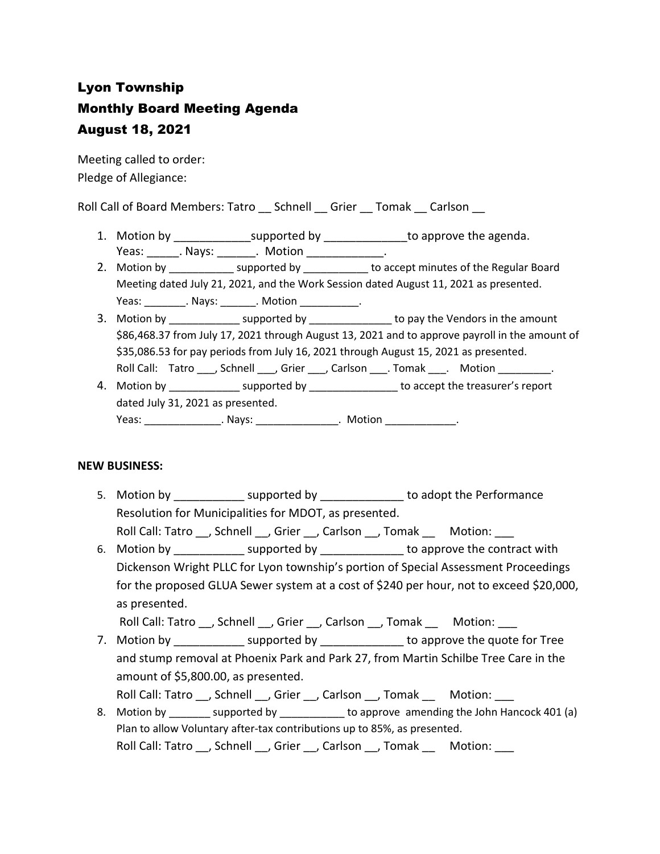# Lyon Township Monthly Board Meeting Agenda August 18, 2021

Meeting called to order: Pledge of Allegiance:

Roll Call of Board Members: Tatro \_\_ Schnell \_\_ Grier \_\_ Tomak \_\_ Carlson \_\_

- 1. Motion by \_\_\_\_\_\_\_\_\_\_\_\_\_\_\_supported by \_\_\_\_\_\_\_\_\_\_\_\_\_\_\_to approve the agenda. Yeas: Nays: Notion Reas: Notion
- 2. Motion by \_\_\_\_\_\_\_\_\_\_\_\_\_ supported by \_\_\_\_\_\_\_\_\_\_\_ to accept minutes of the Regular Board Meeting dated July 21, 2021, and the Work Session dated August 11, 2021 as presented. Yeas: \_\_\_\_\_\_\_\_\_. Nays: \_\_\_\_\_\_\_\_. Motion \_\_\_\_\_\_\_\_\_\_\_\_.
- 3. Motion by \_\_\_\_\_\_\_\_\_\_\_\_\_\_ supported by \_\_\_\_\_\_\_\_\_\_\_\_\_\_\_ to pay the Vendors in the amount \$86,468.37 from July 17, 2021 through August 13, 2021 and to approve payroll in the amount of \$35,086.53 for pay periods from July 16, 2021 through August 15, 2021 as presented. Roll Call: Tatro \_\_\_, Schnell \_\_\_, Grier \_\_\_, Carlson \_\_\_\_. Tomak \_\_\_. Motion \_\_\_\_\_\_\_\_.
- 4. Motion by the supported by the support of the treasurer's report dated July 31, 2021 as presented. Yeas: \_\_\_\_\_\_\_\_\_\_\_\_\_\_\_\_\_. Nays: \_\_\_\_\_\_\_\_\_\_\_\_\_\_\_\_\_. Motion \_\_\_\_\_\_\_\_\_\_\_\_\_\_\_.

# **NEW BUSINESS:**

5. Motion by **EXACTE SUPPORTED SUPPORTED BY** to adopt the Performance Resolution for Municipalities for MDOT, as presented.

Roll Call: Tatro \_\_, Schnell \_\_, Grier \_\_, Carlson \_\_, Tomak \_\_ Motion: \_\_\_

6. Motion by supported by \_\_\_\_\_\_\_\_\_\_\_\_\_\_ to approve the contract with Dickenson Wright PLLC for Lyon township's portion of Special Assessment Proceedings for the proposed GLUA Sewer system at a cost of \$240 per hour, not to exceed \$20,000, as presented.

Roll Call: Tatro , Schnell , Grier , Carlson , Tomak Motion:

7. Motion by \_\_\_\_\_\_\_\_\_\_\_\_\_\_ supported by \_\_\_\_\_\_\_\_\_\_\_\_\_\_\_ to approve the quote for Tree and stump removal at Phoenix Park and Park 27, from Martin Schilbe Tree Care in the amount of \$5,800.00, as presented.

Roll Call: Tatro \_\_, Schnell \_\_, Grier \_\_, Carlson \_\_, Tomak \_\_\_\_ Motion:

8. Motion by supported by to approve amending the John Hancock 401 (a) Plan to allow Voluntary after-tax contributions up to 85%, as presented. Roll Call: Tatro \_\_, Schnell \_\_, Grier \_\_, Carlson \_\_, Tomak \_\_ Motion: \_\_\_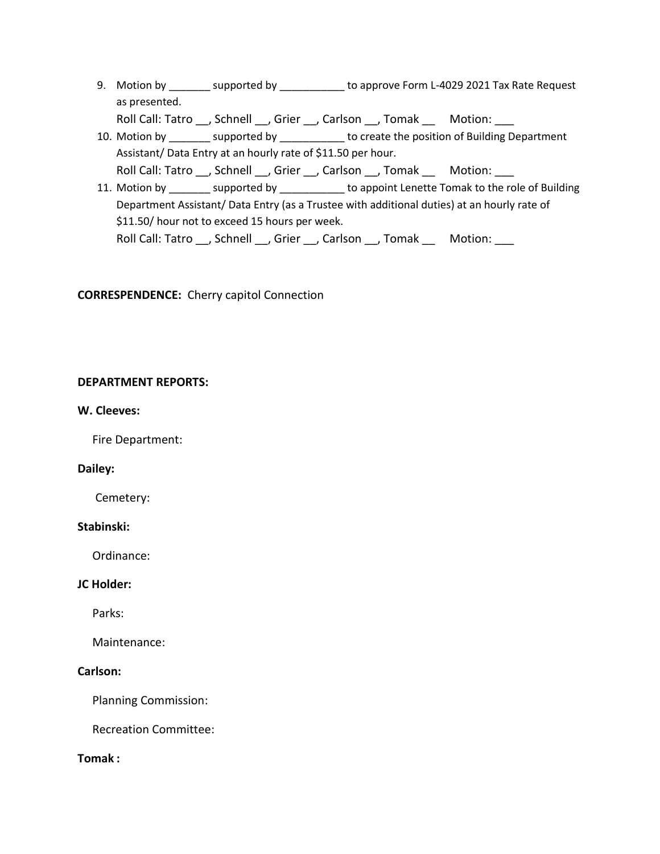9. Motion by \_\_\_\_\_\_\_ supported by \_\_\_\_\_\_\_\_\_\_\_ to approve Form L-4029 2021 Tax Rate Request as presented.

Roll Call: Tatro \_\_, Schnell \_\_, Grier \_\_, Carlson \_\_, Tomak \_\_ Motion: \_\_\_

- 10. Motion by \_\_\_\_\_\_\_\_ supported by \_\_\_\_\_\_\_\_\_\_\_ to create the position of Building Department Assistant/ Data Entry at an hourly rate of \$11.50 per hour. Roll Call: Tatro \_\_, Schnell \_\_, Grier \_\_, Carlson \_\_, Tomak \_\_ Motion: \_\_\_
- 11. Motion by \_\_\_\_\_\_\_ supported by \_\_\_\_\_\_\_\_\_\_\_ to appoint Lenette Tomak to the role of Building Department Assistant/ Data Entry (as a Trustee with additional duties) at an hourly rate of \$11.50/ hour not to exceed 15 hours per week. Roll Call: Tatro \_\_, Schnell \_\_, Grier \_\_, Carlson \_\_, Tomak \_\_ Motion: \_\_\_

**CORRESPENDENCE:** Cherry capitol Connection

#### **DEPARTMENT REPORTS:**

#### **W. Cleeves:**

Fire Department:

#### **Dailey:**

Cemetery:

#### **Stabinski:**

Ordinance:

#### **JC Holder:**

Parks:

Maintenance:

## **Carlson:**

Planning Commission:

Recreation Committee:

## **Tomak :**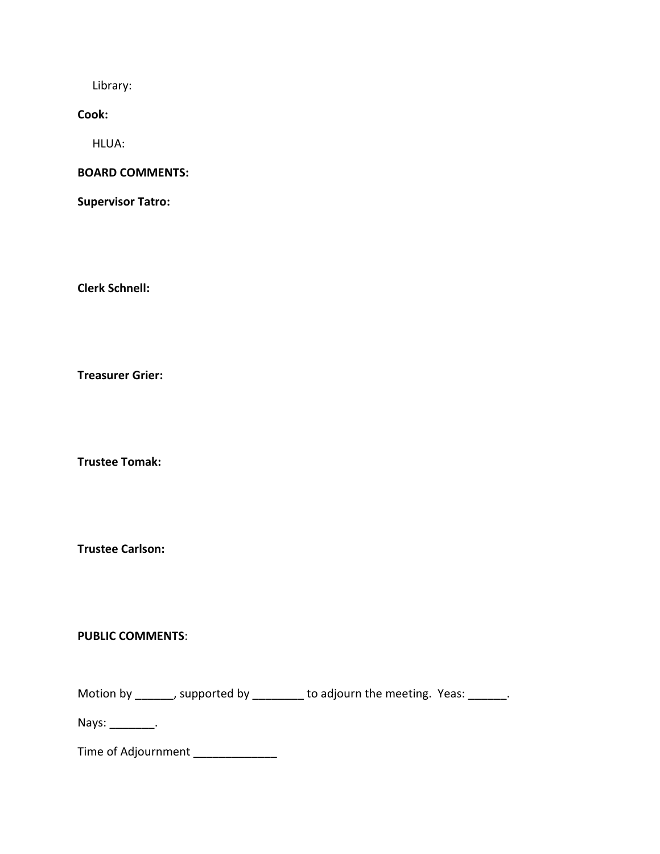Library:

**Cook:**

HLUA:

# **BOARD COMMENTS:**

**Supervisor Tatro:**

**Clerk Schnell:** 

**Treasurer Grier:**

**Trustee Tomak:**

**Trustee Carlson:**

## **PUBLIC COMMENTS**:

Motion by \_\_\_\_\_\_, supported by \_\_\_\_\_\_\_\_ to adjourn the meeting. Yeas: \_\_\_\_\_\_.

Nays: \_\_\_\_\_\_\_\_\_.

Time of Adjournment \_\_\_\_\_\_\_\_\_\_\_\_\_\_